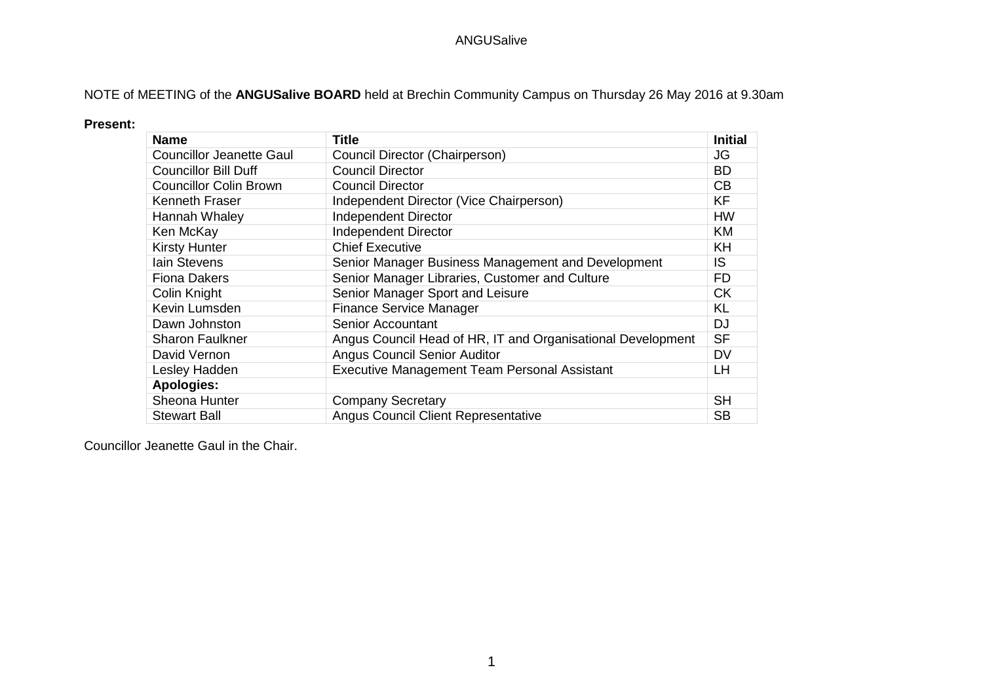# NOTE of MEETING of the **ANGUSalive BOARD** held at Brechin Community Campus on Thursday 26 May 2016 at 9.30am

#### **Present:**

| <b>Name</b>                     | <b>Title</b>                                                | <b>Initial</b> |
|---------------------------------|-------------------------------------------------------------|----------------|
| <b>Councillor Jeanette Gaul</b> | Council Director (Chairperson)                              | JG             |
| <b>Councillor Bill Duff</b>     | <b>Council Director</b>                                     | <b>BD</b>      |
| <b>Councillor Colin Brown</b>   | <b>Council Director</b>                                     | CB             |
| Kenneth Fraser                  | Independent Director (Vice Chairperson)                     | <b>KF</b>      |
| Hannah Whaley                   | <b>Independent Director</b>                                 | <b>HW</b>      |
| Ken McKay                       | <b>Independent Director</b>                                 | <b>KM</b>      |
| <b>Kirsty Hunter</b>            | <b>Chief Executive</b>                                      | KH             |
| lain Stevens                    | Senior Manager Business Management and Development          | IS             |
| <b>Fiona Dakers</b>             | Senior Manager Libraries, Customer and Culture              | FD             |
| Colin Knight                    | Senior Manager Sport and Leisure                            | <b>CK</b>      |
| Kevin Lumsden                   | <b>Finance Service Manager</b>                              | <b>KL</b>      |
| Dawn Johnston                   | Senior Accountant                                           | DJ             |
| <b>Sharon Faulkner</b>          | Angus Council Head of HR, IT and Organisational Development | <b>SF</b>      |
| David Vernon                    | <b>Angus Council Senior Auditor</b>                         | <b>DV</b>      |
| Lesley Hadden                   | <b>Executive Management Team Personal Assistant</b>         | LН             |
| <b>Apologies:</b>               |                                                             |                |
| Sheona Hunter                   | <b>Company Secretary</b>                                    | <b>SH</b>      |
| <b>Stewart Ball</b>             | <b>Angus Council Client Representative</b>                  | <b>SB</b>      |

Councillor Jeanette Gaul in the Chair.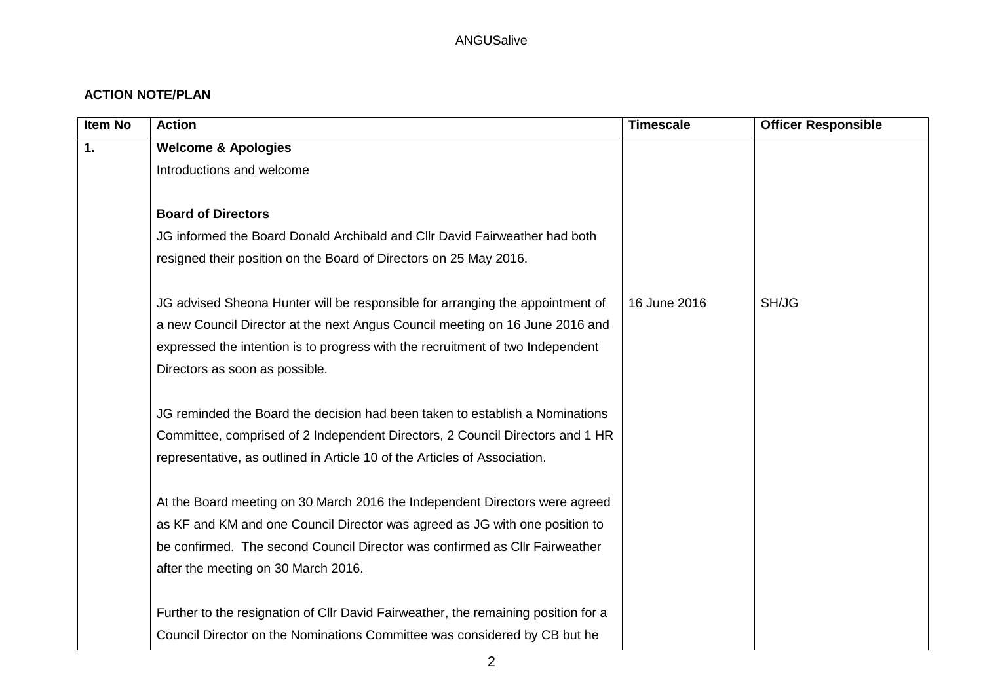## **ACTION NOTE/PLAN**

| <b>Item No</b> | <b>Action</b>                                                                      | <b>Timescale</b> | <b>Officer Responsible</b> |
|----------------|------------------------------------------------------------------------------------|------------------|----------------------------|
| 1.             | <b>Welcome &amp; Apologies</b>                                                     |                  |                            |
|                | Introductions and welcome                                                          |                  |                            |
|                |                                                                                    |                  |                            |
|                | <b>Board of Directors</b>                                                          |                  |                            |
|                | JG informed the Board Donald Archibald and Cllr David Fairweather had both         |                  |                            |
|                | resigned their position on the Board of Directors on 25 May 2016.                  |                  |                            |
|                | JG advised Sheona Hunter will be responsible for arranging the appointment of      | 16 June 2016     | SH/JG                      |
|                | a new Council Director at the next Angus Council meeting on 16 June 2016 and       |                  |                            |
|                | expressed the intention is to progress with the recruitment of two Independent     |                  |                            |
|                | Directors as soon as possible.                                                     |                  |                            |
|                | JG reminded the Board the decision had been taken to establish a Nominations       |                  |                            |
|                | Committee, comprised of 2 Independent Directors, 2 Council Directors and 1 HR      |                  |                            |
|                | representative, as outlined in Article 10 of the Articles of Association.          |                  |                            |
|                | At the Board meeting on 30 March 2016 the Independent Directors were agreed        |                  |                            |
|                | as KF and KM and one Council Director was agreed as JG with one position to        |                  |                            |
|                | be confirmed. The second Council Director was confirmed as CIIr Fairweather        |                  |                            |
|                | after the meeting on 30 March 2016.                                                |                  |                            |
|                | Further to the resignation of Cllr David Fairweather, the remaining position for a |                  |                            |
|                | Council Director on the Nominations Committee was considered by CB but he          |                  |                            |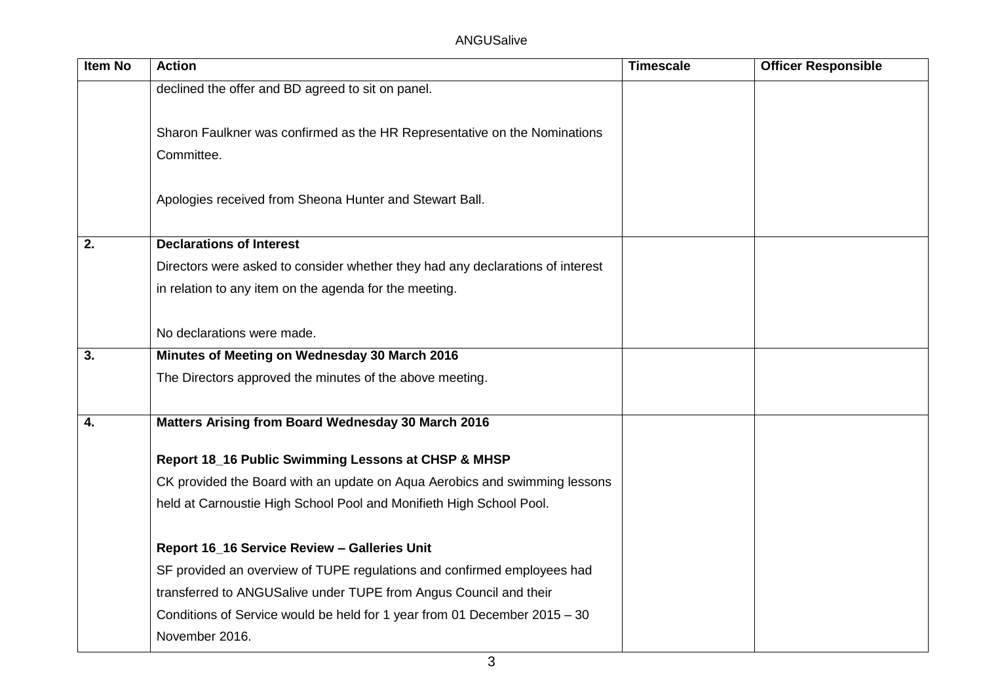| <b>Item No</b> | <b>Action</b>                                                                  | <b>Timescale</b> | <b>Officer Responsible</b> |
|----------------|--------------------------------------------------------------------------------|------------------|----------------------------|
|                | declined the offer and BD agreed to sit on panel.                              |                  |                            |
|                |                                                                                |                  |                            |
|                | Sharon Faulkner was confirmed as the HR Representative on the Nominations      |                  |                            |
|                | Committee.                                                                     |                  |                            |
|                |                                                                                |                  |                            |
|                | Apologies received from Sheona Hunter and Stewart Ball.                        |                  |                            |
| 2.             | <b>Declarations of Interest</b>                                                |                  |                            |
|                | Directors were asked to consider whether they had any declarations of interest |                  |                            |
|                | in relation to any item on the agenda for the meeting.                         |                  |                            |
|                |                                                                                |                  |                            |
|                | No declarations were made.                                                     |                  |                            |
| 3.             | Minutes of Meeting on Wednesday 30 March 2016                                  |                  |                            |
|                | The Directors approved the minutes of the above meeting.                       |                  |                            |
|                |                                                                                |                  |                            |
| 4.             | Matters Arising from Board Wednesday 30 March 2016                             |                  |                            |
|                | Report 18_16 Public Swimming Lessons at CHSP & MHSP                            |                  |                            |
|                | CK provided the Board with an update on Aqua Aerobics and swimming lessons     |                  |                            |
|                | held at Carnoustie High School Pool and Monifieth High School Pool.            |                  |                            |
|                |                                                                                |                  |                            |
|                | Report 16_16 Service Review - Galleries Unit                                   |                  |                            |
|                | SF provided an overview of TUPE regulations and confirmed employees had        |                  |                            |
|                | transferred to ANGUSalive under TUPE from Angus Council and their              |                  |                            |
|                | Conditions of Service would be held for 1 year from 01 December 2015 - 30      |                  |                            |
|                | November 2016.                                                                 |                  |                            |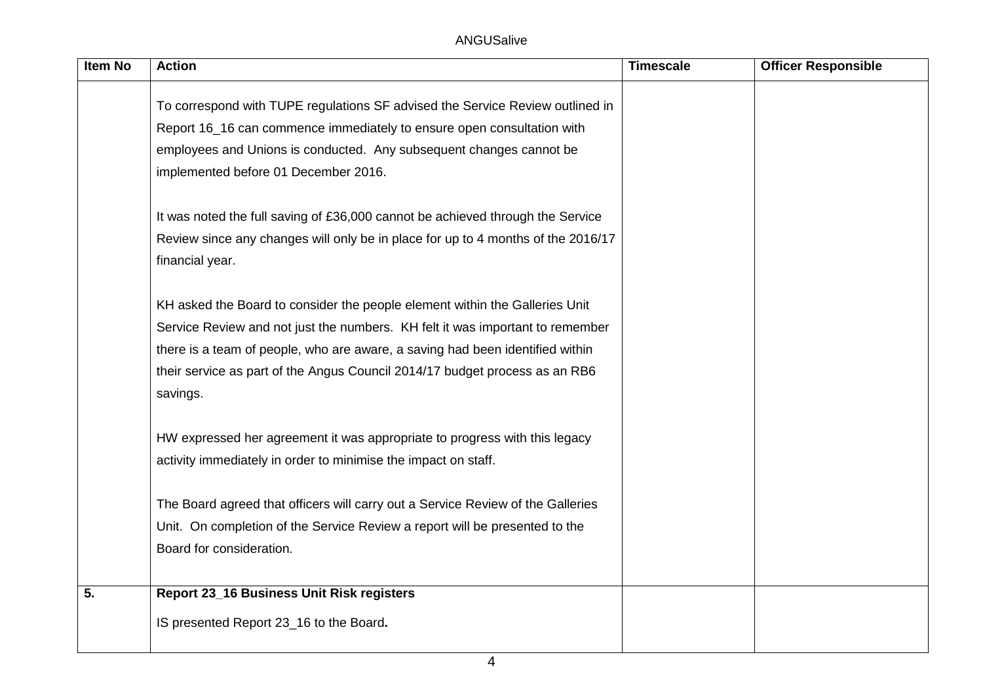| Item No          | <b>Action</b>                                                                    | <b>Timescale</b> | <b>Officer Responsible</b> |
|------------------|----------------------------------------------------------------------------------|------------------|----------------------------|
|                  |                                                                                  |                  |                            |
|                  | To correspond with TUPE regulations SF advised the Service Review outlined in    |                  |                            |
|                  | Report 16_16 can commence immediately to ensure open consultation with           |                  |                            |
|                  | employees and Unions is conducted. Any subsequent changes cannot be              |                  |                            |
|                  | implemented before 01 December 2016.                                             |                  |                            |
|                  | It was noted the full saving of £36,000 cannot be achieved through the Service   |                  |                            |
|                  | Review since any changes will only be in place for up to 4 months of the 2016/17 |                  |                            |
|                  | financial year.                                                                  |                  |                            |
|                  | KH asked the Board to consider the people element within the Galleries Unit      |                  |                            |
|                  | Service Review and not just the numbers. KH felt it was important to remember    |                  |                            |
|                  | there is a team of people, who are aware, a saving had been identified within    |                  |                            |
|                  | their service as part of the Angus Council 2014/17 budget process as an RB6      |                  |                            |
|                  | savings.                                                                         |                  |                            |
|                  | HW expressed her agreement it was appropriate to progress with this legacy       |                  |                            |
|                  | activity immediately in order to minimise the impact on staff.                   |                  |                            |
|                  | The Board agreed that officers will carry out a Service Review of the Galleries  |                  |                            |
|                  | Unit. On completion of the Service Review a report will be presented to the      |                  |                            |
|                  | Board for consideration.                                                         |                  |                            |
|                  |                                                                                  |                  |                            |
| $\overline{5}$ . | Report 23_16 Business Unit Risk registers                                        |                  |                            |
|                  | IS presented Report 23_16 to the Board.                                          |                  |                            |
|                  |                                                                                  |                  |                            |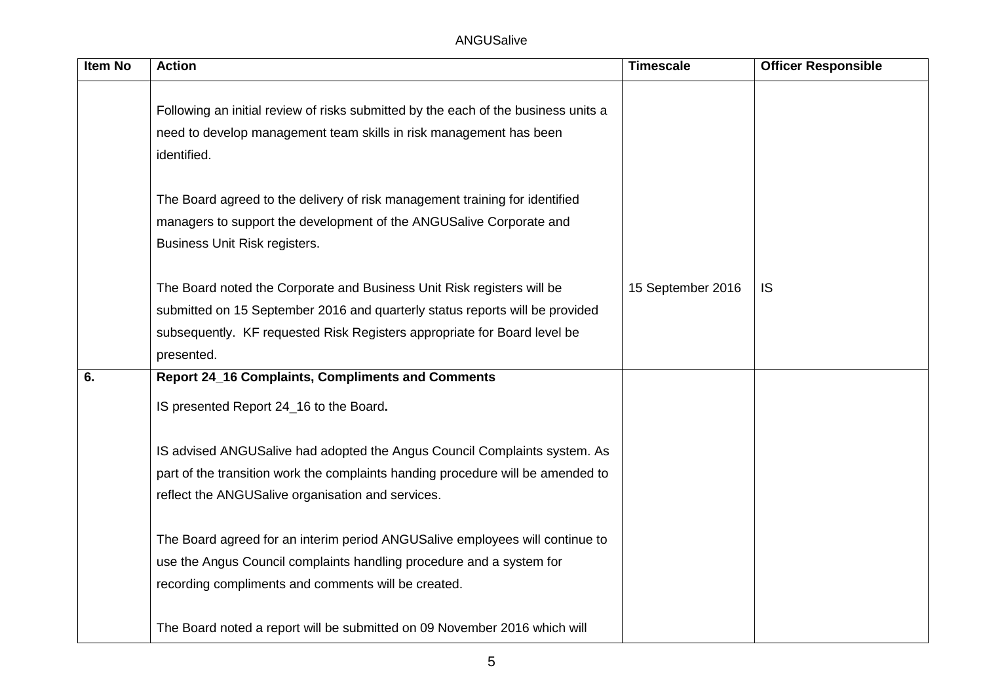| Item No | <b>Action</b>                                                                      | <b>Timescale</b>  | <b>Officer Responsible</b> |
|---------|------------------------------------------------------------------------------------|-------------------|----------------------------|
|         |                                                                                    |                   |                            |
|         | Following an initial review of risks submitted by the each of the business units a |                   |                            |
|         | need to develop management team skills in risk management has been                 |                   |                            |
|         | identified.                                                                        |                   |                            |
|         |                                                                                    |                   |                            |
|         | The Board agreed to the delivery of risk management training for identified        |                   |                            |
|         | managers to support the development of the ANGUSalive Corporate and                |                   |                            |
|         | Business Unit Risk registers.                                                      |                   |                            |
|         |                                                                                    |                   |                            |
|         | The Board noted the Corporate and Business Unit Risk registers will be             | 15 September 2016 | IS                         |
|         | submitted on 15 September 2016 and quarterly status reports will be provided       |                   |                            |
|         | subsequently. KF requested Risk Registers appropriate for Board level be           |                   |                            |
|         | presented.                                                                         |                   |                            |
| 6.      | <b>Report 24_16 Complaints, Compliments and Comments</b>                           |                   |                            |
|         | IS presented Report 24_16 to the Board.                                            |                   |                            |
|         | IS advised ANGUSalive had adopted the Angus Council Complaints system. As          |                   |                            |
|         | part of the transition work the complaints handing procedure will be amended to    |                   |                            |
|         | reflect the ANGUSalive organisation and services.                                  |                   |                            |
|         |                                                                                    |                   |                            |
|         | The Board agreed for an interim period ANGUSalive employees will continue to       |                   |                            |
|         | use the Angus Council complaints handling procedure and a system for               |                   |                            |
|         | recording compliments and comments will be created.                                |                   |                            |
|         |                                                                                    |                   |                            |
|         | The Board noted a report will be submitted on 09 November 2016 which will          |                   |                            |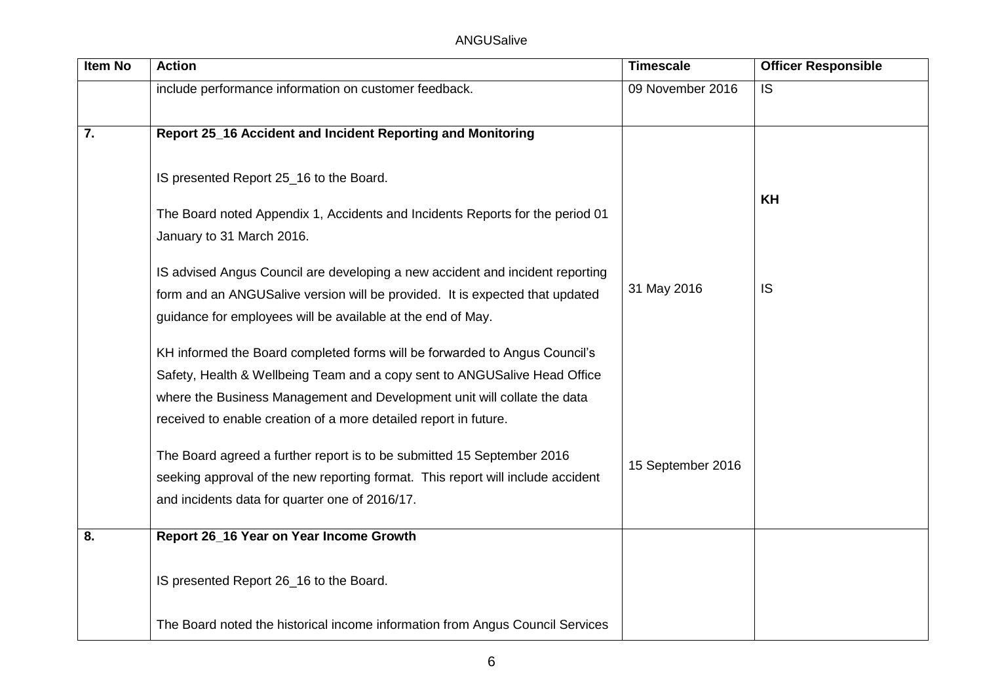| Item No | <b>Action</b>                                                                   | <b>Timescale</b>  | <b>Officer Responsible</b> |
|---------|---------------------------------------------------------------------------------|-------------------|----------------------------|
|         | include performance information on customer feedback.                           | 09 November 2016  | IS.                        |
|         |                                                                                 |                   |                            |
| 7.      | Report 25_16 Accident and Incident Reporting and Monitoring                     |                   |                            |
|         |                                                                                 |                   |                            |
|         | IS presented Report 25_16 to the Board.                                         |                   |                            |
|         | The Board noted Appendix 1, Accidents and Incidents Reports for the period 01   |                   | <b>KH</b>                  |
|         | January to 31 March 2016.                                                       |                   |                            |
|         | IS advised Angus Council are developing a new accident and incident reporting   |                   |                            |
|         | form and an ANGUSalive version will be provided. It is expected that updated    | 31 May 2016       | <b>IS</b>                  |
|         | guidance for employees will be available at the end of May.                     |                   |                            |
|         |                                                                                 |                   |                            |
|         | KH informed the Board completed forms will be forwarded to Angus Council's      |                   |                            |
|         | Safety, Health & Wellbeing Team and a copy sent to ANGUSalive Head Office       |                   |                            |
|         | where the Business Management and Development unit will collate the data        |                   |                            |
|         | received to enable creation of a more detailed report in future.                |                   |                            |
|         | The Board agreed a further report is to be submitted 15 September 2016          |                   |                            |
|         | seeking approval of the new reporting format. This report will include accident | 15 September 2016 |                            |
|         | and incidents data for quarter one of 2016/17.                                  |                   |                            |
| 8.      | Report 26_16 Year on Year Income Growth                                         |                   |                            |
|         |                                                                                 |                   |                            |
|         | IS presented Report 26_16 to the Board.                                         |                   |                            |
|         |                                                                                 |                   |                            |
|         | The Board noted the historical income information from Angus Council Services   |                   |                            |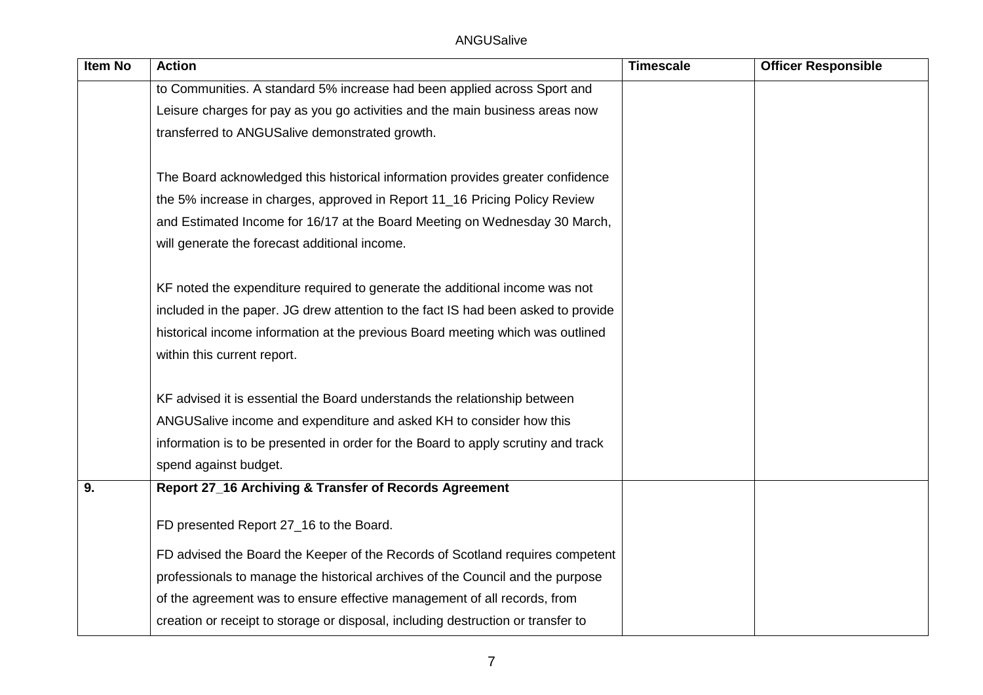| <b>Item No</b> | <b>Action</b>                                                                     | <b>Timescale</b> | <b>Officer Responsible</b> |
|----------------|-----------------------------------------------------------------------------------|------------------|----------------------------|
|                | to Communities. A standard 5% increase had been applied across Sport and          |                  |                            |
|                | Leisure charges for pay as you go activities and the main business areas now      |                  |                            |
|                | transferred to ANGUSalive demonstrated growth.                                    |                  |                            |
|                |                                                                                   |                  |                            |
|                | The Board acknowledged this historical information provides greater confidence    |                  |                            |
|                | the 5% increase in charges, approved in Report 11_16 Pricing Policy Review        |                  |                            |
|                | and Estimated Income for 16/17 at the Board Meeting on Wednesday 30 March,        |                  |                            |
|                | will generate the forecast additional income.                                     |                  |                            |
|                |                                                                                   |                  |                            |
|                | KF noted the expenditure required to generate the additional income was not       |                  |                            |
|                | included in the paper. JG drew attention to the fact IS had been asked to provide |                  |                            |
|                | historical income information at the previous Board meeting which was outlined    |                  |                            |
|                | within this current report.                                                       |                  |                            |
|                |                                                                                   |                  |                            |
|                | KF advised it is essential the Board understands the relationship between         |                  |                            |
|                | ANGUSalive income and expenditure and asked KH to consider how this               |                  |                            |
|                | information is to be presented in order for the Board to apply scrutiny and track |                  |                            |
|                | spend against budget.                                                             |                  |                            |
| 9.             | Report 27_16 Archiving & Transfer of Records Agreement                            |                  |                            |
|                | FD presented Report 27_16 to the Board.                                           |                  |                            |
|                |                                                                                   |                  |                            |
|                | FD advised the Board the Keeper of the Records of Scotland requires competent     |                  |                            |
|                | professionals to manage the historical archives of the Council and the purpose    |                  |                            |
|                | of the agreement was to ensure effective management of all records, from          |                  |                            |
|                | creation or receipt to storage or disposal, including destruction or transfer to  |                  |                            |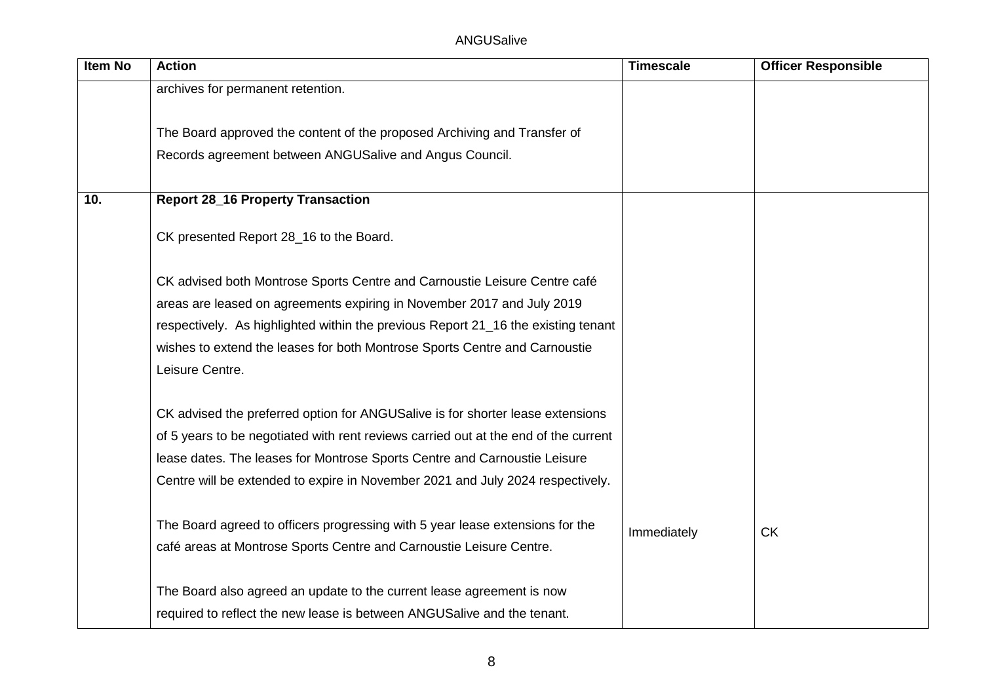| <b>Item No</b> | <b>Action</b>                                                                       | <b>Timescale</b> | <b>Officer Responsible</b> |
|----------------|-------------------------------------------------------------------------------------|------------------|----------------------------|
|                | archives for permanent retention.                                                   |                  |                            |
|                |                                                                                     |                  |                            |
|                | The Board approved the content of the proposed Archiving and Transfer of            |                  |                            |
|                | Records agreement between ANGUSalive and Angus Council.                             |                  |                            |
|                |                                                                                     |                  |                            |
| 10.            | <b>Report 28_16 Property Transaction</b>                                            |                  |                            |
|                |                                                                                     |                  |                            |
|                | CK presented Report 28_16 to the Board.                                             |                  |                            |
|                | CK advised both Montrose Sports Centre and Carnoustie Leisure Centre café           |                  |                            |
|                | areas are leased on agreements expiring in November 2017 and July 2019              |                  |                            |
|                |                                                                                     |                  |                            |
|                | respectively. As highlighted within the previous Report 21_16 the existing tenant   |                  |                            |
|                | wishes to extend the leases for both Montrose Sports Centre and Carnoustie          |                  |                            |
|                | Leisure Centre.                                                                     |                  |                            |
|                | CK advised the preferred option for ANGUSalive is for shorter lease extensions      |                  |                            |
|                | of 5 years to be negotiated with rent reviews carried out at the end of the current |                  |                            |
|                | lease dates. The leases for Montrose Sports Centre and Carnoustie Leisure           |                  |                            |
|                | Centre will be extended to expire in November 2021 and July 2024 respectively.      |                  |                            |
|                |                                                                                     |                  |                            |
|                | The Board agreed to officers progressing with 5 year lease extensions for the       | Immediately      | <b>CK</b>                  |
|                | café areas at Montrose Sports Centre and Carnoustie Leisure Centre.                 |                  |                            |
|                |                                                                                     |                  |                            |
|                | The Board also agreed an update to the current lease agreement is now               |                  |                            |
|                | required to reflect the new lease is between ANGUSalive and the tenant.             |                  |                            |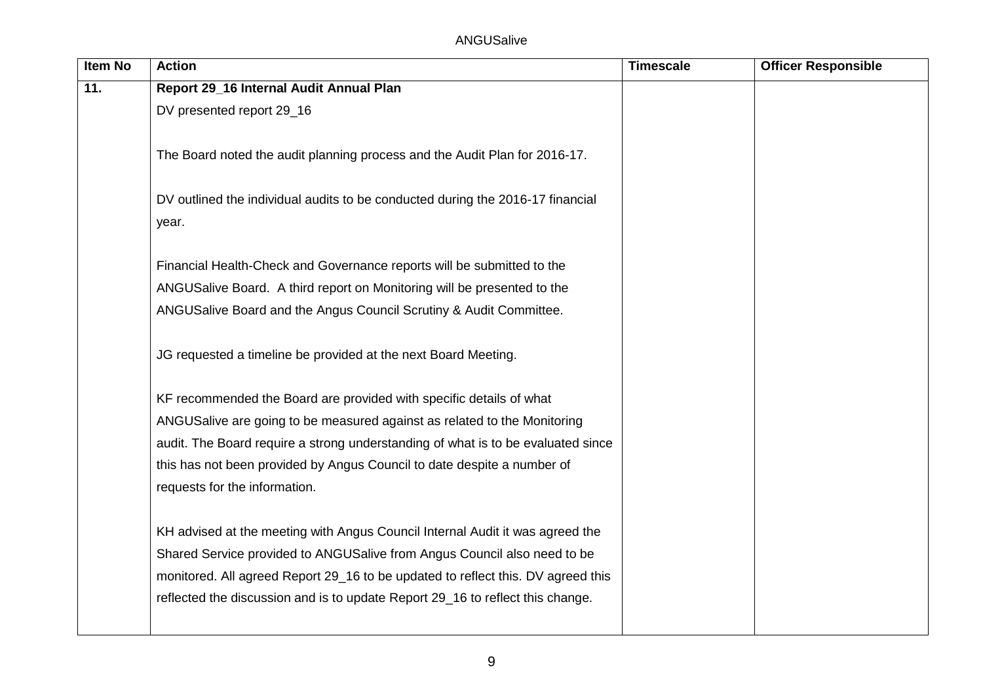| <b>Item No</b> | <b>Action</b>                                                                    | <b>Timescale</b> | <b>Officer Responsible</b> |
|----------------|----------------------------------------------------------------------------------|------------------|----------------------------|
| 11.            | Report 29_16 Internal Audit Annual Plan                                          |                  |                            |
|                | DV presented report 29_16                                                        |                  |                            |
|                |                                                                                  |                  |                            |
|                | The Board noted the audit planning process and the Audit Plan for 2016-17.       |                  |                            |
|                |                                                                                  |                  |                            |
|                | DV outlined the individual audits to be conducted during the 2016-17 financial   |                  |                            |
|                | year.                                                                            |                  |                            |
|                |                                                                                  |                  |                            |
|                | Financial Health-Check and Governance reports will be submitted to the           |                  |                            |
|                | ANGUSalive Board. A third report on Monitoring will be presented to the          |                  |                            |
|                | ANGUSalive Board and the Angus Council Scrutiny & Audit Committee.               |                  |                            |
|                |                                                                                  |                  |                            |
|                | JG requested a timeline be provided at the next Board Meeting.                   |                  |                            |
|                |                                                                                  |                  |                            |
|                | KF recommended the Board are provided with specific details of what              |                  |                            |
|                | ANGUSalive are going to be measured against as related to the Monitoring         |                  |                            |
|                | audit. The Board require a strong understanding of what is to be evaluated since |                  |                            |
|                | this has not been provided by Angus Council to date despite a number of          |                  |                            |
|                | requests for the information.                                                    |                  |                            |
|                |                                                                                  |                  |                            |
|                | KH advised at the meeting with Angus Council Internal Audit it was agreed the    |                  |                            |
|                | Shared Service provided to ANGUSalive from Angus Council also need to be         |                  |                            |
|                | monitored. All agreed Report 29_16 to be updated to reflect this. DV agreed this |                  |                            |
|                | reflected the discussion and is to update Report 29_16 to reflect this change.   |                  |                            |
|                |                                                                                  |                  |                            |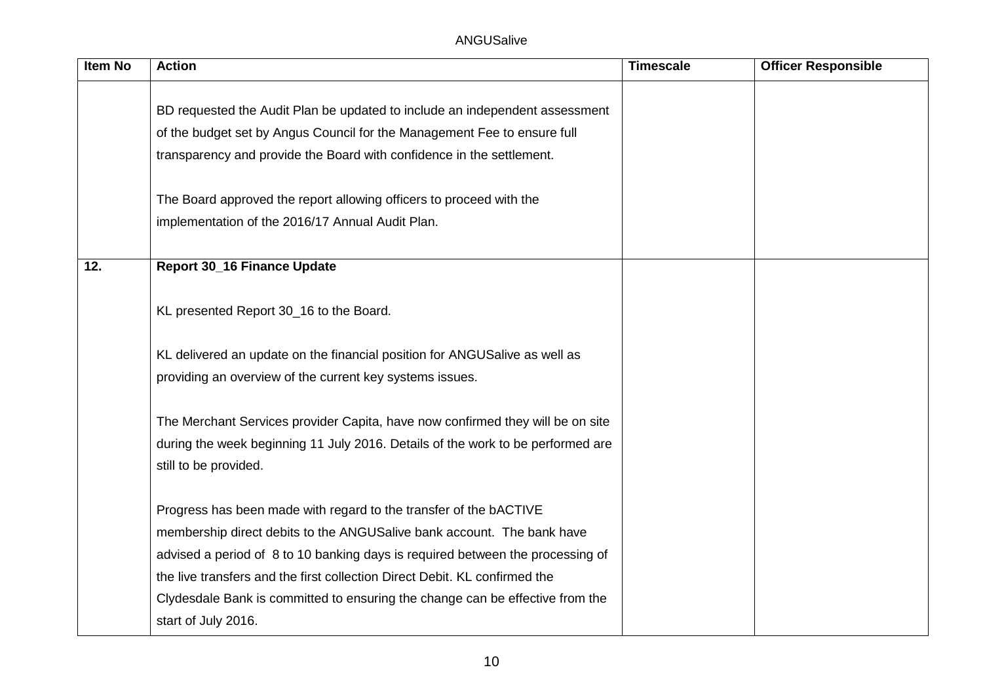| Item No | <b>Action</b>                                                                   | <b>Timescale</b> | <b>Officer Responsible</b> |
|---------|---------------------------------------------------------------------------------|------------------|----------------------------|
|         |                                                                                 |                  |                            |
|         | BD requested the Audit Plan be updated to include an independent assessment     |                  |                            |
|         | of the budget set by Angus Council for the Management Fee to ensure full        |                  |                            |
|         | transparency and provide the Board with confidence in the settlement.           |                  |                            |
|         | The Board approved the report allowing officers to proceed with the             |                  |                            |
|         | implementation of the 2016/17 Annual Audit Plan.                                |                  |                            |
| 12.     | <b>Report 30_16 Finance Update</b>                                              |                  |                            |
|         | KL presented Report 30_16 to the Board.                                         |                  |                            |
|         | KL delivered an update on the financial position for ANGUSalive as well as      |                  |                            |
|         | providing an overview of the current key systems issues.                        |                  |                            |
|         | The Merchant Services provider Capita, have now confirmed they will be on site  |                  |                            |
|         | during the week beginning 11 July 2016. Details of the work to be performed are |                  |                            |
|         | still to be provided.                                                           |                  |                            |
|         | Progress has been made with regard to the transfer of the bACTIVE               |                  |                            |
|         | membership direct debits to the ANGUSalive bank account. The bank have          |                  |                            |
|         | advised a period of 8 to 10 banking days is required between the processing of  |                  |                            |
|         | the live transfers and the first collection Direct Debit. KL confirmed the      |                  |                            |
|         | Clydesdale Bank is committed to ensuring the change can be effective from the   |                  |                            |
|         | start of July 2016.                                                             |                  |                            |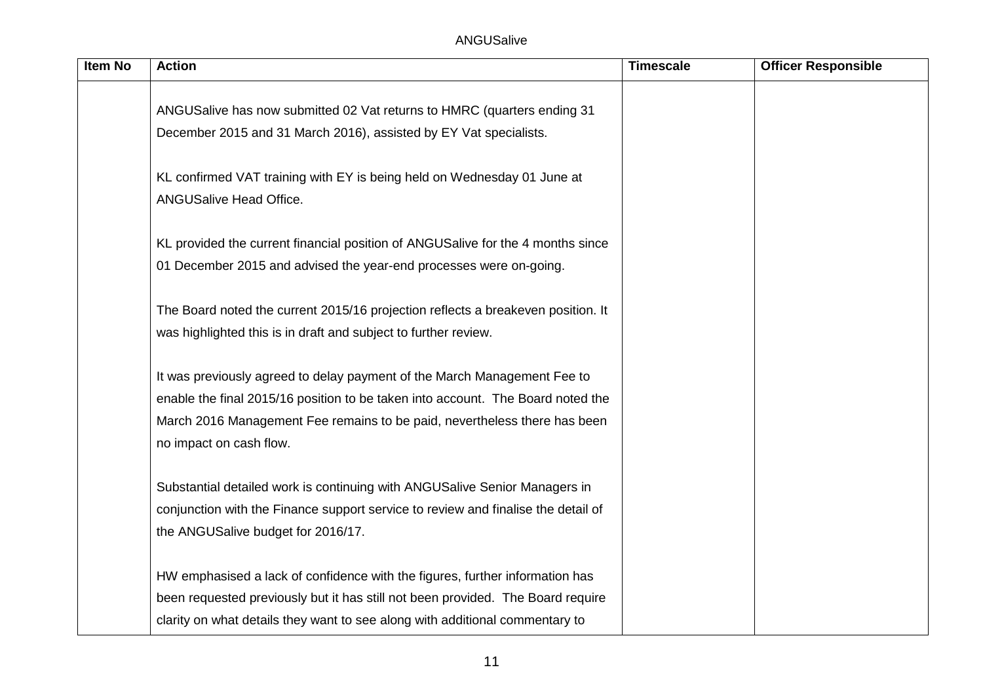| <b>Item No</b> | <b>Action</b>                                                                                        | <b>Timescale</b> | <b>Officer Responsible</b> |
|----------------|------------------------------------------------------------------------------------------------------|------------------|----------------------------|
|                | ANGUSalive has now submitted 02 Vat returns to HMRC (quarters ending 31                              |                  |                            |
|                | December 2015 and 31 March 2016), assisted by EY Vat specialists.                                    |                  |                            |
|                | KL confirmed VAT training with EY is being held on Wednesday 01 June at<br>ANGUSalive Head Office.   |                  |                            |
|                | KL provided the current financial position of ANGUSalive for the 4 months since                      |                  |                            |
|                | 01 December 2015 and advised the year-end processes were on-going.                                   |                  |                            |
|                | The Board noted the current 2015/16 projection reflects a breakeven position. It                     |                  |                            |
|                | was highlighted this is in draft and subject to further review.                                      |                  |                            |
|                | It was previously agreed to delay payment of the March Management Fee to                             |                  |                            |
|                | enable the final 2015/16 position to be taken into account. The Board noted the                      |                  |                            |
|                | March 2016 Management Fee remains to be paid, nevertheless there has been<br>no impact on cash flow. |                  |                            |
|                | Substantial detailed work is continuing with ANGUSalive Senior Managers in                           |                  |                            |
|                | conjunction with the Finance support service to review and finalise the detail of                    |                  |                            |
|                | the ANGUSalive budget for 2016/17.                                                                   |                  |                            |
|                | HW emphasised a lack of confidence with the figures, further information has                         |                  |                            |
|                | been requested previously but it has still not been provided. The Board require                      |                  |                            |
|                | clarity on what details they want to see along with additional commentary to                         |                  |                            |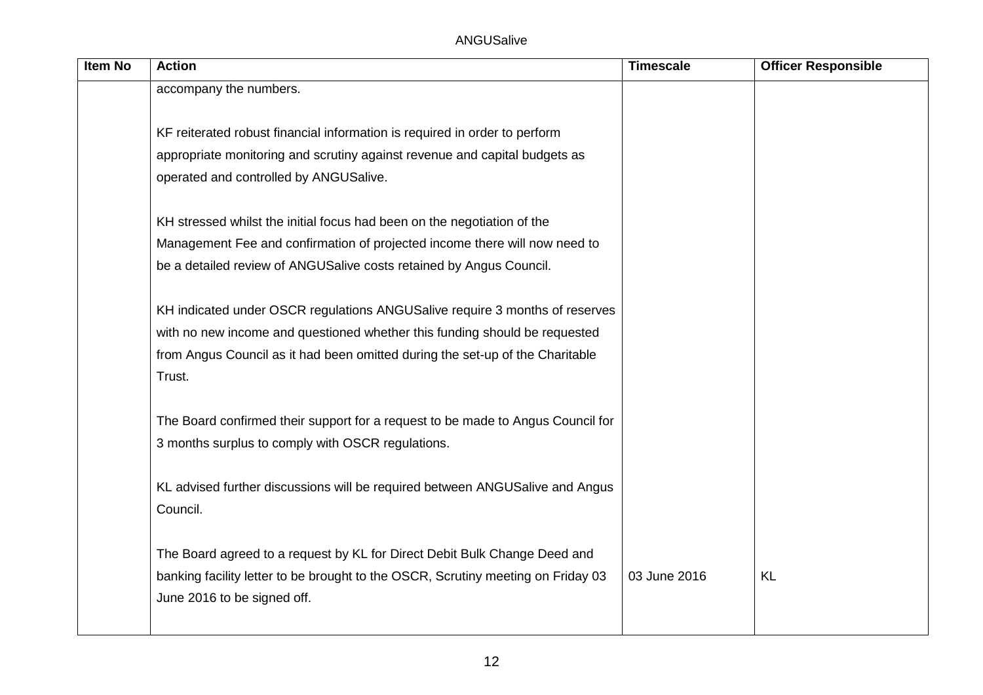| <b>Item No</b> | <b>Action</b>                                                                    | <b>Timescale</b> | <b>Officer Responsible</b> |
|----------------|----------------------------------------------------------------------------------|------------------|----------------------------|
|                | accompany the numbers.                                                           |                  |                            |
|                |                                                                                  |                  |                            |
|                | KF reiterated robust financial information is required in order to perform       |                  |                            |
|                | appropriate monitoring and scrutiny against revenue and capital budgets as       |                  |                            |
|                | operated and controlled by ANGUSalive.                                           |                  |                            |
|                |                                                                                  |                  |                            |
|                | KH stressed whilst the initial focus had been on the negotiation of the          |                  |                            |
|                | Management Fee and confirmation of projected income there will now need to       |                  |                            |
|                | be a detailed review of ANGUSalive costs retained by Angus Council.              |                  |                            |
|                |                                                                                  |                  |                            |
|                | KH indicated under OSCR regulations ANGUSalive require 3 months of reserves      |                  |                            |
|                | with no new income and questioned whether this funding should be requested       |                  |                            |
|                | from Angus Council as it had been omitted during the set-up of the Charitable    |                  |                            |
|                | Trust.                                                                           |                  |                            |
|                |                                                                                  |                  |                            |
|                | The Board confirmed their support for a request to be made to Angus Council for  |                  |                            |
|                | 3 months surplus to comply with OSCR regulations.                                |                  |                            |
|                |                                                                                  |                  |                            |
|                | KL advised further discussions will be required between ANGUSalive and Angus     |                  |                            |
|                | Council.                                                                         |                  |                            |
|                |                                                                                  |                  |                            |
|                | The Board agreed to a request by KL for Direct Debit Bulk Change Deed and        |                  |                            |
|                | banking facility letter to be brought to the OSCR, Scrutiny meeting on Friday 03 | 03 June 2016     | <b>KL</b>                  |
|                | June 2016 to be signed off.                                                      |                  |                            |
|                |                                                                                  |                  |                            |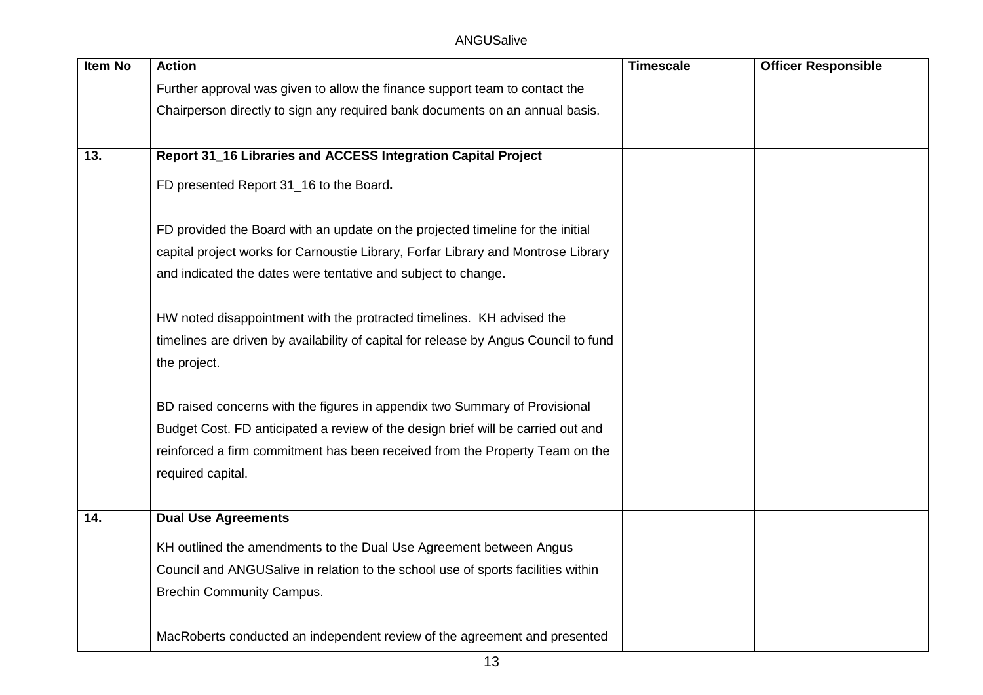| <b>Item No</b> | <b>Action</b>                                                                        | <b>Timescale</b> | <b>Officer Responsible</b> |
|----------------|--------------------------------------------------------------------------------------|------------------|----------------------------|
|                | Further approval was given to allow the finance support team to contact the          |                  |                            |
|                | Chairperson directly to sign any required bank documents on an annual basis.         |                  |                            |
|                |                                                                                      |                  |                            |
| 13.            | Report 31_16 Libraries and ACCESS Integration Capital Project                        |                  |                            |
|                | FD presented Report 31_16 to the Board.                                              |                  |                            |
|                | FD provided the Board with an update on the projected timeline for the initial       |                  |                            |
|                | capital project works for Carnoustie Library, Forfar Library and Montrose Library    |                  |                            |
|                | and indicated the dates were tentative and subject to change.                        |                  |                            |
|                | HW noted disappointment with the protracted timelines. KH advised the                |                  |                            |
|                | timelines are driven by availability of capital for release by Angus Council to fund |                  |                            |
|                | the project.                                                                         |                  |                            |
|                | BD raised concerns with the figures in appendix two Summary of Provisional           |                  |                            |
|                | Budget Cost. FD anticipated a review of the design brief will be carried out and     |                  |                            |
|                | reinforced a firm commitment has been received from the Property Team on the         |                  |                            |
|                | required capital.                                                                    |                  |                            |
| 14.            | <b>Dual Use Agreements</b>                                                           |                  |                            |
|                | KH outlined the amendments to the Dual Use Agreement between Angus                   |                  |                            |
|                | Council and ANGUSalive in relation to the school use of sports facilities within     |                  |                            |
|                | <b>Brechin Community Campus.</b>                                                     |                  |                            |
|                | MacRoberts conducted an independent review of the agreement and presented            |                  |                            |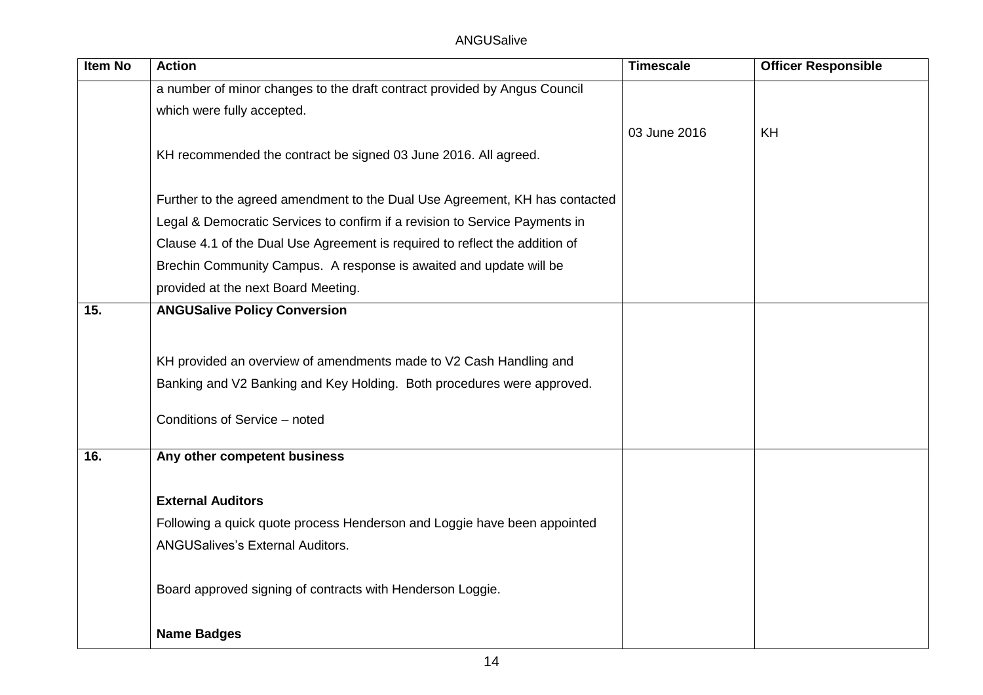| <b>Item No</b> | <b>Action</b>                                                               | <b>Timescale</b> | <b>Officer Responsible</b> |
|----------------|-----------------------------------------------------------------------------|------------------|----------------------------|
|                | a number of minor changes to the draft contract provided by Angus Council   |                  |                            |
|                | which were fully accepted.                                                  |                  |                            |
|                |                                                                             | 03 June 2016     | <b>KH</b>                  |
|                | KH recommended the contract be signed 03 June 2016. All agreed.             |                  |                            |
|                |                                                                             |                  |                            |
|                | Further to the agreed amendment to the Dual Use Agreement, KH has contacted |                  |                            |
|                | Legal & Democratic Services to confirm if a revision to Service Payments in |                  |                            |
|                | Clause 4.1 of the Dual Use Agreement is required to reflect the addition of |                  |                            |
|                | Brechin Community Campus. A response is awaited and update will be          |                  |                            |
|                | provided at the next Board Meeting.                                         |                  |                            |
| 15.            | <b>ANGUSalive Policy Conversion</b>                                         |                  |                            |
|                |                                                                             |                  |                            |
|                | KH provided an overview of amendments made to V2 Cash Handling and          |                  |                            |
|                | Banking and V2 Banking and Key Holding. Both procedures were approved.      |                  |                            |
|                | Conditions of Service - noted                                               |                  |                            |
|                |                                                                             |                  |                            |
| 16.            | Any other competent business                                                |                  |                            |
|                |                                                                             |                  |                            |
|                | <b>External Auditors</b>                                                    |                  |                            |
|                | Following a quick quote process Henderson and Loggie have been appointed    |                  |                            |
|                | <b>ANGUSalives's External Auditors.</b>                                     |                  |                            |
|                |                                                                             |                  |                            |
|                | Board approved signing of contracts with Henderson Loggie.                  |                  |                            |
|                | <b>Name Badges</b>                                                          |                  |                            |